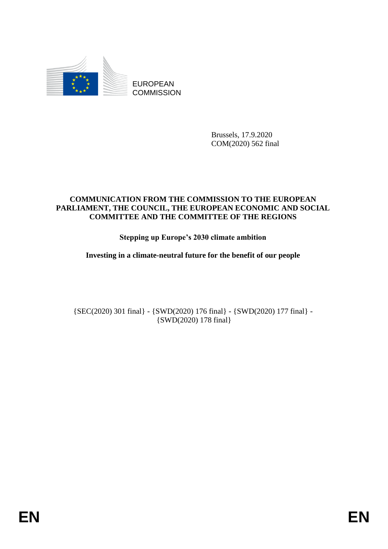

EUROPEAN **COMMISSION** 

> Brussels, 17.9.2020 COM(2020) 562 final

# **COMMUNICATION FROM THE COMMISSION TO THE EUROPEAN PARLIAMENT, THE COUNCIL, THE EUROPEAN ECONOMIC AND SOCIAL COMMITTEE AND THE COMMITTEE OF THE REGIONS**

# **Stepping up Europe's 2030 climate ambition**

**Investing in a climate-neutral future for the benefit of our people** 

{SEC(2020) 301 final} - {SWD(2020) 176 final} - {SWD(2020) 177 final} - {SWD(2020) 178 final}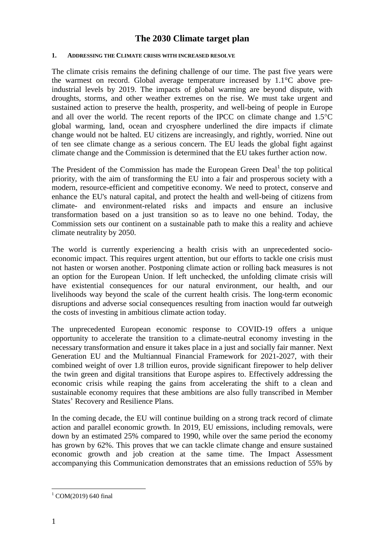# **The 2030 Climate target plan**

#### **1. ADDRESSING THE CLIMATE CRISIS WITH INCREASED RESOLVE**

The climate crisis remains the defining challenge of our time. The past five years were the warmest on record. Global average temperature increased by 1.1°C above preindustrial levels by 2019. The impacts of global warming are beyond dispute, with droughts, storms, and other weather extremes on the rise. We must take urgent and sustained action to preserve the health, prosperity, and well-being of people in Europe and all over the world. The recent reports of the IPCC on climate change and  $1.5^{\circ}$ C global warming, land, ocean and cryosphere underlined the dire impacts if climate change would not be halted. EU citizens are increasingly, and rightly, worried. Nine out of ten see climate change as a serious concern. The EU leads the global fight against climate change and the Commission is determined that the EU takes further action now.

The President of the Commission has made the European Green Deal<sup>1</sup> the top political priority, with the aim of transforming the EU into a fair and prosperous society with a modern, resource-efficient and competitive economy. We need to protect, conserve and enhance the EU's natural capital, and protect the health and well-being of citizens from climate- and environment-related risks and impacts and ensure an inclusive transformation based on a just transition so as to leave no one behind. Today, the Commission sets our continent on a sustainable path to make this a reality and achieve climate neutrality by 2050.

The world is currently experiencing a health crisis with an unprecedented socioeconomic impact. This requires urgent attention, but our efforts to tackle one crisis must not hasten or worsen another. Postponing climate action or rolling back measures is not an option for the European Union. If left unchecked, the unfolding climate crisis will have existential consequences for our natural environment, our health, and our livelihoods way beyond the scale of the current health crisis. The long-term economic disruptions and adverse social consequences resulting from inaction would far outweigh the costs of investing in ambitious climate action today.

The unprecedented European economic response to COVID-19 offers a unique opportunity to accelerate the transition to a climate-neutral economy investing in the necessary transformation and ensure it takes place in a just and socially fair manner. Next Generation EU and the Multiannual Financial Framework for 2021-2027, with their combined weight of over 1.8 trillion euros, provide significant firepower to help deliver the twin green and digital transitions that Europe aspires to. Effectively addressing the economic crisis while reaping the gains from accelerating the shift to a clean and sustainable economy requires that these ambitions are also fully transcribed in Member States' Recovery and Resilience Plans.

In the coming decade, the EU will continue building on a strong track record of climate action and parallel economic growth. In 2019, EU emissions, including removals, were down by an estimated 25% compared to 1990, while over the same period the economy has grown by 62%. This proves that we can tackle climate change and ensure sustained economic growth and job creation at the same time. The Impact Assessment accompanying this Communication demonstrates that an emissions reduction of 55% by

 $1$  COM(2019) 640 final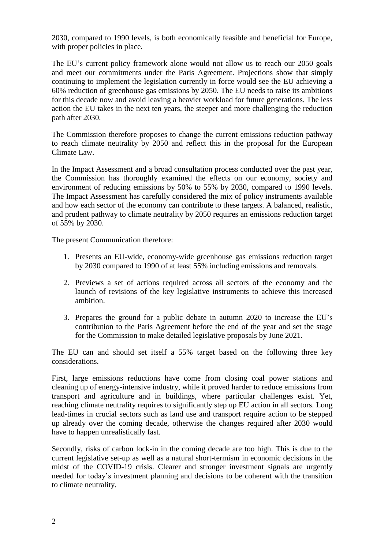2030, compared to 1990 levels, is both economically feasible and beneficial for Europe, with proper policies in place.

The EU's current policy framework alone would not allow us to reach our 2050 goals and meet our commitments under the Paris Agreement. Projections show that simply continuing to implement the legislation currently in force would see the EU achieving a 60% reduction of greenhouse gas emissions by 2050. The EU needs to raise its ambitions for this decade now and avoid leaving a heavier workload for future generations. The less action the EU takes in the next ten years, the steeper and more challenging the reduction path after 2030.

The Commission therefore proposes to change the current emissions reduction pathway to reach climate neutrality by 2050 and reflect this in the proposal for the European Climate Law.

In the Impact Assessment and a broad consultation process conducted over the past year, the Commission has thoroughly examined the effects on our economy, society and environment of reducing emissions by 50% to 55% by 2030, compared to 1990 levels. The Impact Assessment has carefully considered the mix of policy instruments available and how each sector of the economy can contribute to these targets. A balanced, realistic, and prudent pathway to climate neutrality by 2050 requires an emissions reduction target of 55% by 2030.

The present Communication therefore:

- 1. Presents an EU-wide, economy-wide greenhouse gas emissions reduction target by 2030 compared to 1990 of at least 55% including emissions and removals.
- 2. Previews a set of actions required across all sectors of the economy and the launch of revisions of the key legislative instruments to achieve this increased ambition.
- 3. Prepares the ground for a public debate in autumn 2020 to increase the EU's contribution to the Paris Agreement before the end of the year and set the stage for the Commission to make detailed legislative proposals by June 2021.

The EU can and should set itself a 55% target based on the following three key considerations.

First, large emissions reductions have come from closing coal power stations and cleaning up of energy-intensive industry, while it proved harder to reduce emissions from transport and agriculture and in buildings, where particular challenges exist. Yet, reaching climate neutrality requires to significantly step up EU action in all sectors. Long lead-times in crucial sectors such as land use and transport require action to be stepped up already over the coming decade, otherwise the changes required after 2030 would have to happen unrealistically fast.

Secondly, risks of carbon lock-in in the coming decade are too high. This is due to the current legislative set-up as well as a natural short-termism in economic decisions in the midst of the COVID-19 crisis. Clearer and stronger investment signals are urgently needed for today's investment planning and decisions to be coherent with the transition to climate neutrality.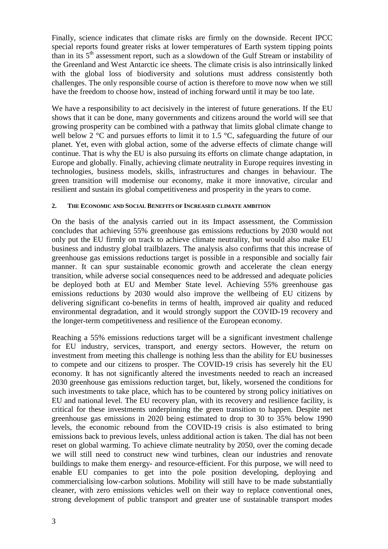Finally, science indicates that climate risks are firmly on the downside. Recent IPCC special reports found greater risks at lower temperatures of Earth system tipping points than in its 5<sup>th</sup> assessment report, such as a slowdown of the Gulf Stream or instability of the Greenland and West Antarctic ice sheets. The climate crisis is also intrinsically linked with the global loss of biodiversity and solutions must address consistently both challenges. The only responsible course of action is therefore to move now when we still have the freedom to choose how, instead of inching forward until it may be too late.

We have a responsibility to act decisively in the interest of future generations. If the EU shows that it can be done, many governments and citizens around the world will see that growing prosperity can be combined with a pathway that limits global climate change to well below 2  $\degree$ C and pursues efforts to limit it to 1.5  $\degree$ C, safeguarding the future of our planet. Yet, even with global action, some of the adverse effects of climate change will continue. That is why the EU is also pursuing its efforts on climate change adaptation, in Europe and globally. Finally, achieving climate neutrality in Europe requires investing in technologies, business models, skills, infrastructures and changes in behaviour. The green transition will modernise our economy, make it more innovative, circular and resilient and sustain its global competitiveness and prosperity in the years to come.

#### **2. THE ECONOMIC AND SOCIAL BENEFITS OF INCREASED CLIMATE AMBITION**

On the basis of the analysis carried out in its Impact assessment, the Commission concludes that achieving 55% greenhouse gas emissions reductions by 2030 would not only put the EU firmly on track to achieve climate neutrality, but would also make EU business and industry global trailblazers. The analysis also confirms that this increase of greenhouse gas emissions reductions target is possible in a responsible and socially fair manner. It can spur sustainable economic growth and accelerate the clean energy transition, while adverse social consequences need to be addressed and adequate policies be deployed both at EU and Member State level. Achieving 55% greenhouse gas emissions reductions by 2030 would also improve the wellbeing of EU citizens by delivering significant co-benefits in terms of health, improved air quality and reduced environmental degradation, and it would strongly support the COVID-19 recovery and the longer-term competitiveness and resilience of the European economy.

Reaching a 55% emissions reductions target will be a significant investment challenge for EU industry, services, transport, and energy sectors. However, the return on investment from meeting this challenge is nothing less than the ability for EU businesses to compete and our citizens to prosper. The COVID-19 crisis has severely hit the EU economy. It has not significantly altered the investments needed to reach an increased 2030 greenhouse gas emissions reduction target, but, likely, worsened the conditions for such investments to take place, which has to be countered by strong policy initiatives on EU and national level. The EU recovery plan, with its recovery and resilience facility, is critical for these investments underpinning the green transition to happen. Despite net greenhouse gas emissions in 2020 being estimated to drop to 30 to 35% below 1990 levels, the economic rebound from the COVID-19 crisis is also estimated to bring emissions back to previous levels, unless additional action is taken. The dial has not been reset on global warming. To achieve climate neutrality by 2050, over the coming decade we will still need to construct new wind turbines, clean our industries and renovate buildings to make them energy- and resource-efficient. For this purpose, we will need to enable EU companies to get into the pole position developing, deploying and commercialising low-carbon solutions. Mobility will still have to be made substantially cleaner, with zero emissions vehicles well on their way to replace conventional ones, strong development of public transport and greater use of sustainable transport modes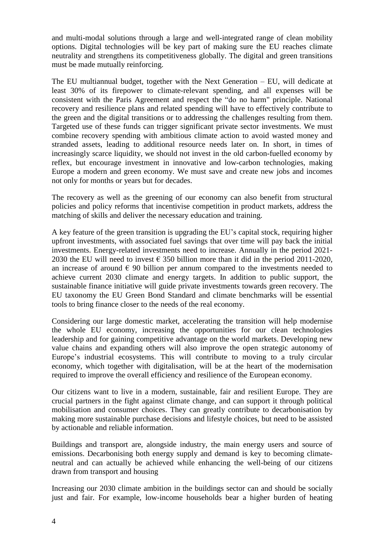and multi-modal solutions through a large and well-integrated range of clean mobility options. Digital technologies will be key part of making sure the EU reaches climate neutrality and strengthens its competitiveness globally. The digital and green transitions must be made mutually reinforcing.

The EU multiannual budget, together with the Next Generation – EU, will dedicate at least 30% of its firepower to climate-relevant spending, and all expenses will be consistent with the Paris Agreement and respect the "do no harm" principle. National recovery and resilience plans and related spending will have to effectively contribute to the green and the digital transitions or to addressing the challenges resulting from them. Targeted use of these funds can trigger significant private sector investments. We must combine recovery spending with ambitious climate action to avoid wasted money and stranded assets, leading to additional resource needs later on. In short, in times of increasingly scarce liquidity, we should not invest in the old carbon-fuelled economy by reflex, but encourage investment in innovative and low-carbon technologies, making Europe a modern and green economy. We must save and create new jobs and incomes not only for months or years but for decades.

The recovery as well as the greening of our economy can also benefit from structural policies and policy reforms that incentivise competition in product markets, address the matching of skills and deliver the necessary education and training.

A key feature of the green transition is upgrading the EU's capital stock, requiring higher upfront investments, with associated fuel savings that over time will pay back the initial investments. Energy-related investments need to increase. Annually in the period 2021- 2030 the EU will need to invest  $\epsilon$  350 billion more than it did in the period 2011-2020, an increase of around  $\epsilon$  90 billion per annum compared to the investments needed to achieve current 2030 climate and energy targets. In addition to public support, the sustainable finance initiative will guide private investments towards green recovery. The EU taxonomy the EU Green Bond Standard and climate benchmarks will be essential tools to bring finance closer to the needs of the real economy.

Considering our large domestic market, accelerating the transition will help modernise the whole EU economy, increasing the opportunities for our clean technologies leadership and for gaining competitive advantage on the world markets. Developing new value chains and expanding others will also improve the open strategic autonomy of Europe's industrial ecosystems. This will contribute to moving to a truly circular economy, which together with digitalisation, will be at the heart of the modernisation required to improve the overall efficiency and resilience of the European economy.

Our citizens want to live in a modern, sustainable, fair and resilient Europe. They are crucial partners in the fight against climate change, and can support it through political mobilisation and consumer choices. They can greatly contribute to decarbonisation by making more sustainable purchase decisions and lifestyle choices, but need to be assisted by actionable and reliable information.

Buildings and transport are, alongside industry, the main energy users and source of emissions. Decarbonising both energy supply and demand is key to becoming climateneutral and can actually be achieved while enhancing the well-being of our citizens drawn from transport and housing

Increasing our 2030 climate ambition in the buildings sector can and should be socially just and fair. For example, low-income households bear a higher burden of heating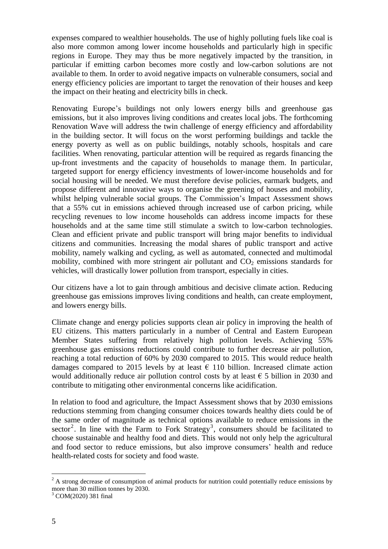expenses compared to wealthier households. The use of highly polluting fuels like coal is also more common among lower income households and particularly high in specific regions in Europe. They may thus be more negatively impacted by the transition, in particular if emitting carbon becomes more costly and low-carbon solutions are not available to them. In order to avoid negative impacts on vulnerable consumers, social and energy efficiency policies are important to target the renovation of their houses and keep the impact on their heating and electricity bills in check.

Renovating Europe's buildings not only lowers energy bills and greenhouse gas emissions, but it also improves living conditions and creates local jobs. The forthcoming Renovation Wave will address the twin challenge of energy efficiency and affordability in the building sector. It will focus on the worst performing buildings and tackle the energy poverty as well as on public buildings, notably schools, hospitals and care facilities. When renovating, particular attention will be required as regards financing the up-front investments and the capacity of households to manage them. In particular, targeted support for energy efficiency investments of lower-income households and for social housing will be needed. We must therefore devise policies, earmark budgets, and propose different and innovative ways to organise the greening of houses and mobility, whilst helping vulnerable social groups. The Commission's Impact Assessment shows that a 55% cut in emissions achieved through increased use of carbon pricing, while recycling revenues to low income households can address income impacts for these households and at the same time still stimulate a switch to low-carbon technologies. Clean and efficient private and public transport will bring major benefits to individual citizens and communities. Increasing the modal shares of public transport and active mobility, namely walking and cycling, as well as automated, connected and multimodal mobility, combined with more stringent air pollutant and  $CO<sub>2</sub>$  emissions standards for vehicles, will drastically lower pollution from transport, especially in cities.

Our citizens have a lot to gain through ambitious and decisive climate action. Reducing greenhouse gas emissions improves living conditions and health, can create employment, and lowers energy bills.

Climate change and energy policies supports clean air policy in improving the health of EU citizens. This matters particularly in a number of Central and Eastern European Member States suffering from relatively high pollution levels. Achieving 55% greenhouse gas emissions reductions could contribute to further decrease air pollution, reaching a total reduction of 60% by 2030 compared to 2015. This would reduce health damages compared to 2015 levels by at least  $\epsilon$  110 billion. Increased climate action would additionally reduce air pollution control costs by at least  $\epsilon$  5 billion in 2030 and contribute to mitigating other environmental concerns like acidification.

In relation to food and agriculture, the Impact Assessment shows that by 2030 emissions reductions stemming from changing consumer choices towards healthy diets could be of the same order of magnitude as technical options available to reduce emissions in the sector<sup>2</sup>. In line with the Farm to Fork Strategy<sup>3</sup>, consumers should be facilitated to choose sustainable and healthy food and diets. This would not only help the agricultural and food sector to reduce emissions, but also improve consumers' health and reduce health-related costs for society and food waste.

 $2^2$  A strong decrease of consumption of animal products for nutrition could potentially reduce emissions by more than 30 million tonnes by 2030.

<sup>3</sup> COM(2020) 381 final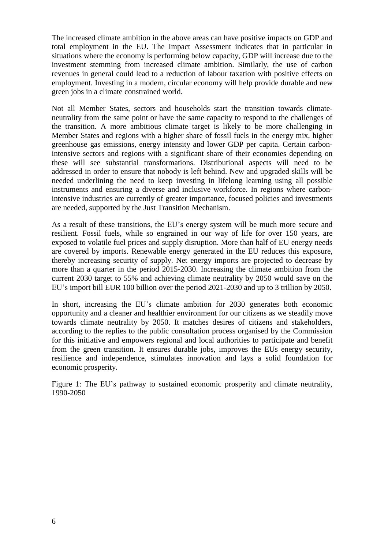The increased climate ambition in the above areas can have positive impacts on GDP and total employment in the EU. The Impact Assessment indicates that in particular in situations where the economy is performing below capacity, GDP will increase due to the investment stemming from increased climate ambition. Similarly, the use of carbon revenues in general could lead to a reduction of labour taxation with positive effects on employment. Investing in a modern, circular economy will help provide durable and new green jobs in a climate constrained world.

Not all Member States, sectors and households start the transition towards climateneutrality from the same point or have the same capacity to respond to the challenges of the transition. A more ambitious climate target is likely to be more challenging in Member States and regions with a higher share of fossil fuels in the energy mix, higher greenhouse gas emissions, energy intensity and lower GDP per capita. Certain carbonintensive sectors and regions with a significant share of their economies depending on these will see substantial transformations. Distributional aspects will need to be addressed in order to ensure that nobody is left behind. New and upgraded skills will be needed underlining the need to keep investing in lifelong learning using all possible instruments and ensuring a diverse and inclusive workforce. In regions where carbonintensive industries are currently of greater importance, focused policies and investments are needed, supported by the Just Transition Mechanism.

As a result of these transitions, the EU's energy system will be much more secure and resilient. Fossil fuels, while so engrained in our way of life for over 150 years, are exposed to volatile fuel prices and supply disruption. More than half of EU energy needs are covered by imports. Renewable energy generated in the EU reduces this exposure, thereby increasing security of supply. Net energy imports are projected to decrease by more than a quarter in the period 2015-2030. Increasing the climate ambition from the current 2030 target to 55% and achieving climate neutrality by 2050 would save on the EU's import bill EUR 100 billion over the period 2021-2030 and up to 3 trillion by 2050.

In short, increasing the EU's climate ambition for 2030 generates both economic opportunity and a cleaner and healthier environment for our citizens as we steadily move towards climate neutrality by 2050. It matches desires of citizens and stakeholders, according to the replies to the public consultation process organised by the Commission for this initiative and empowers regional and local authorities to participate and benefit from the green transition. It ensures durable jobs, improves the EUs energy security, resilience and independence, stimulates innovation and lays a solid foundation for economic prosperity.

Figure 1: The EU's pathway to sustained economic prosperity and climate neutrality, 1990-2050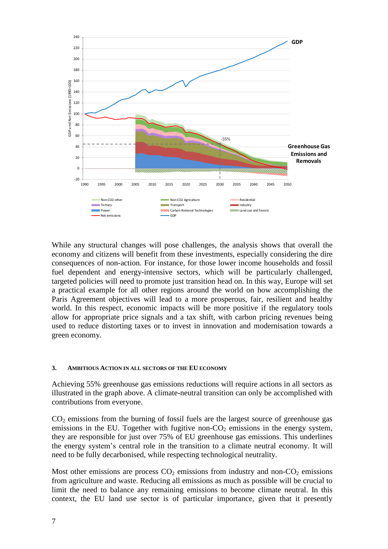

While any structural changes will pose challenges, the analysis shows that overall the economy and citizens will benefit from these investments, especially considering the dire consequences of non-action. For instance, for those lower income households and fossil fuel dependent and energy-intensive sectors, which will be particularly challenged, targeted policies will need to promote just transition head on. In this way, Europe will set a practical example for all other regions around the world on how accomplishing the Paris Agreement objectives will lead to a more prosperous, fair, resilient and healthy world. In this respect, economic impacts will be more positive if the regulatory tools allow for appropriate price signals and a tax shift, with carbon pricing revenues being used to reduce distorting taxes or to invest in innovation and modernisation towards a green economy.

#### **3. AMBITIOUS ACTION IN ALL SECTORS OF THE EU ECONOMY**

Achieving 55% greenhouse gas emissions reductions will require actions in all sectors as illustrated in the graph above. A climate-neutral transition can only be accomplished with contributions from everyone.

 $CO<sub>2</sub>$  emissions from the burning of fossil fuels are the largest source of greenhouse gas emissions in the EU. Together with fugitive non- $CO<sub>2</sub>$  emissions in the energy system, they are responsible for just over 75% of EU greenhouse gas emissions. This underlines the energy system's central role in the transition to a climate neutral economy. It will need to be fully decarbonised, while respecting technological neutrality.

Most other emissions are process  $CO<sub>2</sub>$  emissions from industry and non- $CO<sub>2</sub>$  emissions from agriculture and waste. Reducing all emissions as much as possible will be crucial to limit the need to balance any remaining emissions to become climate neutral. In this context, the EU land use sector is of particular importance, given that it presently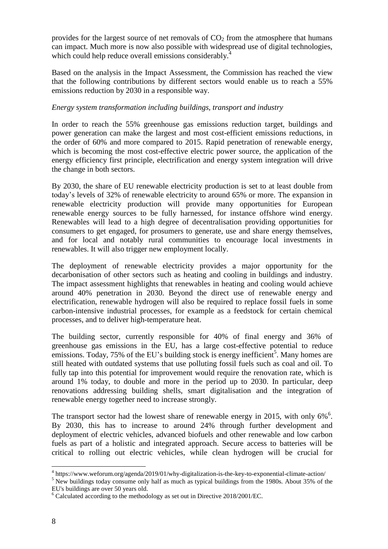provides for the largest source of net removals of  $CO<sub>2</sub>$  from the atmosphere that humans can impact. Much more is now also possible with widespread use of digital technologies, which could help reduce overall emissions considerably.<sup>4</sup>

Based on the analysis in the Impact Assessment, the Commission has reached the view that the following contributions by different sectors would enable us to reach a 55% emissions reduction by 2030 in a responsible way.

## *Energy system transformation including buildings, transport and industry*

In order to reach the 55% greenhouse gas emissions reduction target, buildings and power generation can make the largest and most cost-efficient emissions reductions, in the order of 60% and more compared to 2015. Rapid penetration of renewable energy, which is becoming the most cost-effective electric power source, the application of the energy efficiency first principle, electrification and energy system integration will drive the change in both sectors.

By 2030, the share of EU renewable electricity production is set to at least double from today's levels of 32% of renewable electricity to around 65% or more. The expansion in renewable electricity production will provide many opportunities for European renewable energy sources to be fully harnessed, for instance offshore wind energy. Renewables will lead to a high degree of decentralisation providing opportunities for consumers to get engaged, for prosumers to generate, use and share energy themselves, and for local and notably rural communities to encourage local investments in renewables. It will also trigger new employment locally.

The deployment of renewable electricity provides a major opportunity for the decarbonisation of other sectors such as heating and cooling in buildings and industry. The impact assessment highlights that renewables in heating and cooling would achieve around 40% penetration in 2030. Beyond the direct use of renewable energy and electrification, renewable hydrogen will also be required to replace fossil fuels in some carbon-intensive industrial processes, for example as a feedstock for certain chemical processes, and to deliver high-temperature heat.

The building sector, currently responsible for 40% of final energy and 36% of greenhouse gas emissions in the EU, has a large cost-effective potential to reduce emissions. Today, 75% of the EU's building stock is energy inefficient<sup>5</sup>. Many homes are still heated with outdated systems that use polluting fossil fuels such as coal and oil. To fully tap into this potential for improvement would require the renovation rate, which is around 1% today, to double and more in the period up to 2030. In particular, deep renovations addressing building shells, smart digitalisation and the integration of renewable energy together need to increase strongly.

The transport sector had the lowest share of renewable energy in 2015, with only  $6\%$ <sup>6</sup>. By 2030, this has to increase to around 24% through further development and deployment of electric vehicles, advanced biofuels and other renewable and low carbon fuels as part of a holistic and integrated approach. Secure access to batteries will be critical to rolling out electric vehicles, while clean hydrogen will be crucial for

<sup>4</sup> https://www.weforum.org/agenda/2019/01/why-digitalization-is-the-key-to-exponential-climate-action/

<sup>&</sup>lt;sup>5</sup> New buildings today consume only half as much as typical buildings from the 1980s. About 35% of the EU's buildings are over 50 years old.

 $6$  Calculated according to the methodology as set out in Directive 2018/2001/EC.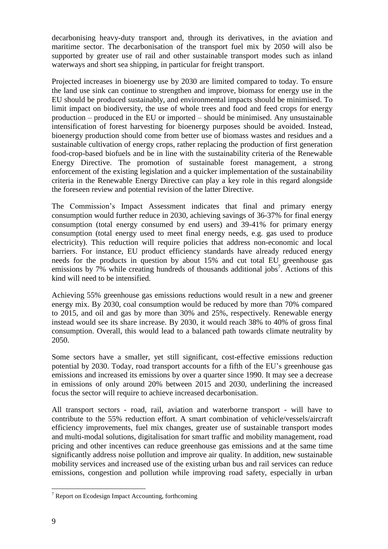decarbonising heavy-duty transport and, through its derivatives, in the aviation and maritime sector. The decarbonisation of the transport fuel mix by 2050 will also be supported by greater use of rail and other sustainable transport modes such as inland waterways and short sea shipping, in particular for freight transport.

Projected increases in bioenergy use by 2030 are limited compared to today. To ensure the land use sink can continue to strengthen and improve, biomass for energy use in the EU should be produced sustainably, and environmental impacts should be minimised. To limit impact on biodiversity, the use of whole trees and food and feed crops for energy production – produced in the EU or imported – should be minimised. Any unsustainable intensification of forest harvesting for bioenergy purposes should be avoided. Instead, bioenergy production should come from better use of biomass wastes and residues and a sustainable cultivation of energy crops, rather replacing the production of first generation food-crop-based biofuels and be in line with the sustainability criteria of the Renewable Energy Directive. The promotion of sustainable forest management, a strong enforcement of the existing legislation and a quicker implementation of the sustainability criteria in the Renewable Energy Directive can play a key role in this regard alongside the foreseen review and potential revision of the latter Directive.

The Commission's Impact Assessment indicates that final and primary energy consumption would further reduce in 2030, achieving savings of 36-37% for final energy consumption (total energy consumed by end users) and 39-41% for primary energy consumption (total energy used to meet final energy needs, e.g. gas used to produce electricity). This reduction will require policies that address non-economic and local barriers. For instance, EU product efficiency standards have already reduced energy needs for the products in question by about 15% and cut total EU greenhouse gas emissions by  $7\%$  while creating hundreds of thousands additional jobs<sup>7</sup>. Actions of this kind will need to be intensified.

Achieving 55% greenhouse gas emissions reductions would result in a new and greener energy mix. By 2030, coal consumption would be reduced by more than 70% compared to 2015, and oil and gas by more than 30% and 25%, respectively. Renewable energy instead would see its share increase. By 2030, it would reach 38% to 40% of gross final consumption. Overall, this would lead to a balanced path towards climate neutrality by 2050.

Some sectors have a smaller, yet still significant, cost-effective emissions reduction potential by 2030. Today, road transport accounts for a fifth of the EU's greenhouse gas emissions and increased its emissions by over a quarter since 1990. It may see a decrease in emissions of only around 20% between 2015 and 2030, underlining the increased focus the sector will require to achieve increased decarbonisation.

All transport sectors - road, rail, aviation and waterborne transport - will have to contribute to the 55% reduction effort. A smart combination of vehicle/vessels/aircraft efficiency improvements, fuel mix changes, greater use of sustainable transport modes and multi-modal solutions, digitalisation for smart traffic and mobility management, road pricing and other incentives can reduce greenhouse gas emissions and at the same time significantly address noise pollution and improve air quality. In addition, new sustainable mobility services and increased use of the existing urban bus and rail services can reduce emissions, congestion and pollution while improving road safety, especially in urban

 $7$  Report on Ecodesign Impact Accounting, forthcoming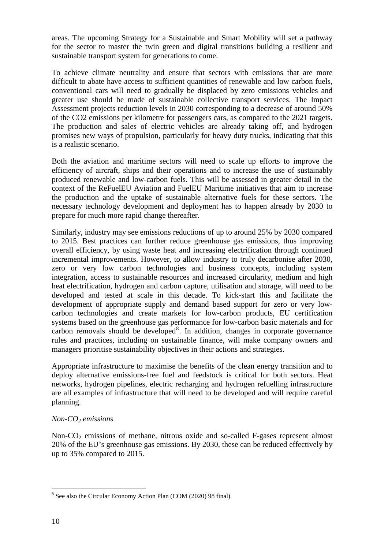areas. The upcoming Strategy for a Sustainable and Smart Mobility will set a pathway for the sector to master the twin green and digital transitions building a resilient and sustainable transport system for generations to come.

To achieve climate neutrality and ensure that sectors with emissions that are more difficult to abate have access to sufficient quantities of renewable and low carbon fuels, conventional cars will need to gradually be displaced by zero emissions vehicles and greater use should be made of sustainable collective transport services. The Impact Assessment projects reduction levels in 2030 corresponding to a decrease of around 50% of the CO2 emissions per kilometre for passengers cars, as compared to the 2021 targets. The production and sales of electric vehicles are already taking off, and hydrogen promises new ways of propulsion, particularly for heavy duty trucks, indicating that this is a realistic scenario.

Both the aviation and maritime sectors will need to scale up efforts to improve the efficiency of aircraft, ships and their operations and to increase the use of sustainably produced renewable and low-carbon fuels. This will be assessed in greater detail in the context of the ReFuelEU Aviation and FuelEU Maritime initiatives that aim to increase the production and the uptake of sustainable alternative fuels for these sectors. The necessary technology development and deployment has to happen already by 2030 to prepare for much more rapid change thereafter.

Similarly, industry may see emissions reductions of up to around 25% by 2030 compared to 2015. Best practices can further reduce greenhouse gas emissions, thus improving overall efficiency, by using waste heat and increasing electrification through continued incremental improvements. However, to allow industry to truly decarbonise after 2030, zero or very low carbon technologies and business concepts, including system integration, access to sustainable resources and increased circularity, medium and high heat electrification, hydrogen and carbon capture, utilisation and storage, will need to be developed and tested at scale in this decade. To kick-start this and facilitate the development of appropriate supply and demand based support for zero or very lowcarbon technologies and create markets for low-carbon products, EU certification systems based on the greenhouse gas performance for low-carbon basic materials and for carbon removals should be developed<sup>8</sup>. In addition, changes in corporate governance rules and practices, including on sustainable finance, will make company owners and managers prioritise sustainability objectives in their actions and strategies.

Appropriate infrastructure to maximise the benefits of the clean energy transition and to deploy alternative emissions-free fuel and feedstock is critical for both sectors. Heat networks, hydrogen pipelines, electric recharging and hydrogen refuelling infrastructure are all examples of infrastructure that will need to be developed and will require careful planning.

# *Non-CO<sup>2</sup> emissions*

Non- $CO<sub>2</sub>$  emissions of methane, nitrous oxide and so-called F-gases represent almost 20% of the EU's greenhouse gas emissions. By 2030, these can be reduced effectively by up to 35% compared to 2015.

<sup>&</sup>lt;sup>8</sup> See also the Circular Economy Action Plan (COM (2020) 98 final).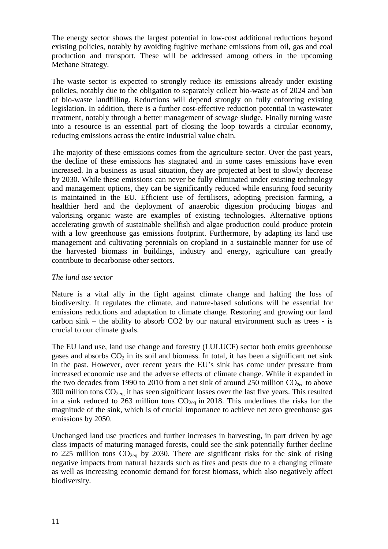The energy sector shows the largest potential in low-cost additional reductions beyond existing policies, notably by avoiding fugitive methane emissions from oil, gas and coal production and transport. These will be addressed among others in the upcoming Methane Strategy.

The waste sector is expected to strongly reduce its emissions already under existing policies, notably due to the obligation to separately collect bio-waste as of 2024 and ban of bio-waste landfilling. Reductions will depend strongly on fully enforcing existing legislation. In addition, there is a further cost-effective reduction potential in wastewater treatment, notably through a better management of sewage sludge. Finally turning waste into a resource is an essential part of closing the loop towards a circular economy, reducing emissions across the entire industrial value chain.

The majority of these emissions comes from the agriculture sector. Over the past years, the decline of these emissions has stagnated and in some cases emissions have even increased. In a business as usual situation, they are projected at best to slowly decrease by 2030. While these emissions can never be fully eliminated under existing technology and management options, they can be significantly reduced while ensuring food security is maintained in the EU. Efficient use of fertilisers, adopting precision farming, a healthier herd and the deployment of anaerobic digestion producing biogas and valorising organic waste are examples of existing technologies. Alternative options accelerating growth of sustainable shellfish and algae production could produce protein with a low greenhouse gas emissions footprint. Furthermore, by adapting its land use management and cultivating perennials on cropland in a sustainable manner for use of the harvested biomass in buildings, industry and energy, agriculture can greatly contribute to decarbonise other sectors.

### *The land use sector*

Nature is a vital ally in the fight against climate change and halting the loss of biodiversity. It regulates the climate, and nature-based solutions will be essential for emissions reductions and adaptation to climate change. Restoring and growing our land carbon sink – the ability to absorb CO2 by our natural environment such as trees - is crucial to our climate goals.

The EU land use, land use change and forestry (LULUCF) sector both emits greenhouse gases and absorbs  $CO<sub>2</sub>$  in its soil and biomass. In total, it has been a significant net sink in the past. However, over recent years the EU's sink has come under pressure from increased economic use and the adverse effects of climate change. While it expanded in the two decades from 1990 to 2010 from a net sink of around 250 million  $CO<sub>2eq</sub>$  to above 300 million tons  $CO<sub>2eq</sub>$ , it has seen significant losses over the last five years. This resulted in a sink reduced to 263 million tons  $CO_{2eq}$  in 2018. This underlines the risks for the magnitude of the sink, which is of crucial importance to achieve net zero greenhouse gas emissions by 2050.

Unchanged land use practices and further increases in harvesting, in part driven by age class impacts of maturing managed forests, could see the sink potentially further decline to 225 million tons  $CO_{2eq}$  by 2030. There are significant risks for the sink of rising negative impacts from natural hazards such as fires and pests due to a changing climate as well as increasing economic demand for forest biomass, which also negatively affect biodiversity.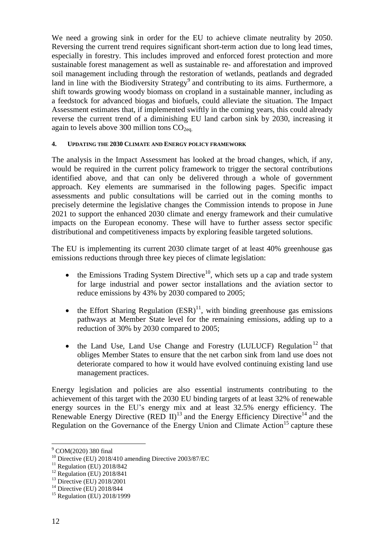We need a growing sink in order for the EU to achieve climate neutrality by 2050. Reversing the current trend requires significant short-term action due to long lead times, especially in forestry. This includes improved and enforced forest protection and more sustainable forest management as well as sustainable re- and afforestation and improved soil management including through the restoration of wetlands, peatlands and degraded land in line with the Biodiversity Strategy<sup>9</sup> and contributing to its aims. Furthermore, a shift towards growing woody biomass on cropland in a sustainable manner, including as a feedstock for advanced biogas and biofuels, could alleviate the situation. The Impact Assessment estimates that, if implemented swiftly in the coming years, this could already reverse the current trend of a diminishing EU land carbon sink by 2030, increasing it again to levels above 300 million tons  $CO<sub>2ea</sub>$ .

#### **4. UPDATING THE 2030 CLIMATE AND ENERGY POLICY FRAMEWORK**

The analysis in the Impact Assessment has looked at the broad changes, which, if any, would be required in the current policy framework to trigger the sectoral contributions identified above, and that can only be delivered through a whole of government approach. Key elements are summarised in the following pages. Specific impact assessments and public consultations will be carried out in the coming months to precisely determine the legislative changes the Commission intends to propose in June 2021 to support the enhanced 2030 climate and energy framework and their cumulative impacts on the European economy. These will have to further assess sector specific distributional and competitiveness impacts by exploring feasible targeted solutions.

The EU is implementing its current 2030 climate target of at least 40% greenhouse gas emissions reductions through three key pieces of climate legislation:

- the Emissions Trading System Directive<sup>10</sup>, which sets up a cap and trade system for large industrial and power sector installations and the aviation sector to reduce emissions by 43% by 2030 compared to 2005;
- the Effort Sharing Regulation  $(ESR)^{11}$ , with binding greenhouse gas emissions pathways at Member State level for the remaining emissions, adding up to a reduction of 30% by 2030 compared to 2005;
- $\bullet$  the Land Use, Land Use Change and Forestry (LULUCF) Regulation<sup>12</sup> that obliges Member States to ensure that the net carbon sink from land use does not deteriorate compared to how it would have evolved continuing existing land use management practices.

Energy legislation and policies are also essential instruments contributing to the achievement of this target with the 2030 EU binding targets of at least 32% of renewable energy sources in the EU's energy mix and at least 32.5% energy efficiency. The Renewable Energy Directive (RED II)<sup>13</sup> and the Energy Efficiency Directive<sup>14</sup> and the Regulation on the Governance of the Energy Union and Climate Action<sup>15</sup> capture these

<sup>&</sup>lt;sup>9</sup> COM(2020) 380 final

<sup>&</sup>lt;sup>10</sup> Directive (EU) 2018/410 amending Directive 2003/87/EC

 $11$  Regulation (EU) 2018/842

<sup>12</sup> Regulation (EU) 2018/841

<sup>13</sup> Directive (EU) 2018/2001

<sup>&</sup>lt;sup>14</sup> Directive (EU) 2018/844

<sup>&</sup>lt;sup>15</sup> Regulation (EU) 2018/1999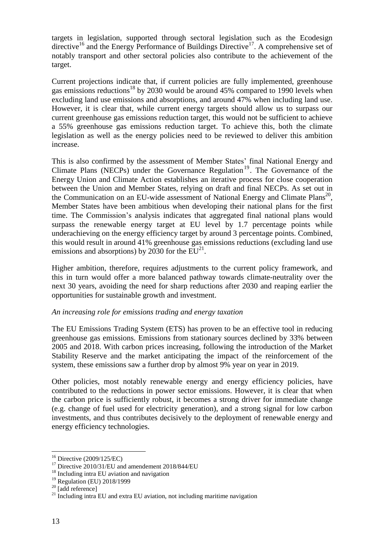targets in legislation, supported through sectoral legislation such as the Ecodesign directive<sup>16</sup> and the Energy Performance of Buildings Directive<sup>17</sup>. A comprehensive set of notably transport and other sectoral policies also contribute to the achievement of the target.

Current projections indicate that, if current policies are fully implemented, greenhouse gas emissions reductions<sup>18</sup> by 2030 would be around 45% compared to 1990 levels when excluding land use emissions and absorptions, and around 47% when including land use. However, it is clear that, while current energy targets should allow us to surpass our current greenhouse gas emissions reduction target, this would not be sufficient to achieve a 55% greenhouse gas emissions reduction target. To achieve this, both the climate legislation as well as the energy policies need to be reviewed to deliver this ambition increase.

This is also confirmed by the assessment of Member States' final National Energy and Climate Plans (NECPs) under the Governance Regulation<sup>19</sup>. The Governance of the Energy Union and Climate Action establishes an iterative process for close cooperation between the Union and Member States, relying on draft and final NECPs. As set out in the Communication on an EU-wide assessment of National Energy and Climate Plans<sup>20</sup>, Member States have been ambitious when developing their national plans for the first time. The Commission's analysis indicates that aggregated final national plans would surpass the renewable energy target at EU level by 1.7 percentage points while underachieving on the energy efficiency target by around 3 percentage points. Combined, this would result in around 41% greenhouse gas emissions reductions (excluding land use emissions and absorptions) by 2030 for the  $EU^{21}$ .

Higher ambition, therefore, requires adjustments to the current policy framework, and this in turn would offer a more balanced pathway towards climate-neutrality over the next 30 years, avoiding the need for sharp reductions after 2030 and reaping earlier the opportunities for sustainable growth and investment.

### *An increasing role for emissions trading and energy taxation*

The EU Emissions Trading System (ETS) has proven to be an effective tool in reducing greenhouse gas emissions. Emissions from stationary sources declined by 33% between 2005 and 2018. With carbon prices increasing, following the introduction of the Market Stability Reserve and the market anticipating the impact of the reinforcement of the system, these emissions saw a further drop by almost 9% year on year in 2019.

Other policies, most notably renewable energy and energy efficiency policies, have contributed to the reductions in power sector emissions. However, it is clear that when the carbon price is sufficiently robust, it becomes a strong driver for immediate change (e.g. change of fuel used for electricity generation), and a strong signal for low carbon investments, and thus contributes decisively to the deployment of renewable energy and energy efficiency technologies.

<sup>16</sup> Directive (2009/125/EC)

 $17$  Directive 2010/31/EU and amendement 2018/844/EU

<sup>&</sup>lt;sup>18</sup> Including intra EU aviation and navigation

<sup>19</sup> Regulation (EU) 2018/1999

<sup>&</sup>lt;sup>20</sup> [add reference]

 $21$  Including intra EU and extra EU aviation, not including maritime navigation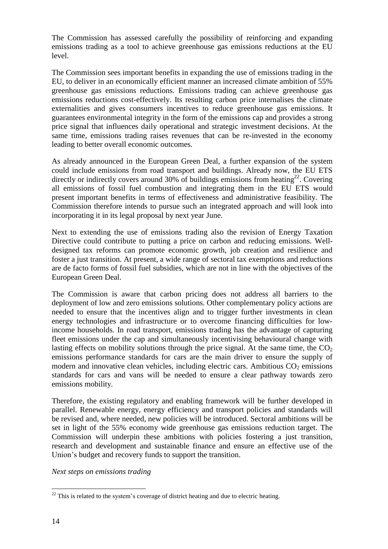The Commission has assessed carefully the possibility of reinforcing and expanding emissions trading as a tool to achieve greenhouse gas emissions reductions at the EU level.

The Commission sees important benefits in expanding the use of emissions trading in the EU, to deliver in an economically efficient manner an increased climate ambition of 55% greenhouse gas emissions reductions. Emissions trading can achieve greenhouse gas emissions reductions cost-effectively. Its resulting carbon price internalises the climate externalities and gives consumers incentives to reduce greenhouse gas emissions. It guarantees environmental integrity in the form of the emissions cap and provides a strong price signal that influences daily operational and strategic investment decisions. At the same time, emissions trading raises revenues that can be re-invested in the economy leading to better overall economic outcomes.

As already announced in the European Green Deal, a further expansion of the system could include emissions from road transport and buildings. Already now, the EU ETS directly or indirectly covers around 30% of buildings emissions from heating<sup>22</sup>. Covering all emissions of fossil fuel combustion and integrating them in the EU ETS would present important benefits in terms of effectiveness and administrative feasibility. The Commission therefore intends to pursue such an integrated approach and will look into incorporating it in its legal proposal by next year June.

Next to extending the use of emissions trading also the revision of Energy Taxation Directive could contribute to putting a price on carbon and reducing emissions. Welldesigned tax reforms can promote economic growth, job creation and resilience and foster a just transition. At present, a wide range of sectoral tax exemptions and reductions are de facto forms of fossil fuel subsidies, which are not in line with the objectives of the European Green Deal.

The Commission is aware that carbon pricing does not address all barriers to the deployment of low and zero emissions solutions. Other complementary policy actions are needed to ensure that the incentives align and to trigger further investments in clean energy technologies and infrastructure or to overcome financing difficulties for lowincome households. In road transport, emissions trading has the advantage of capturing fleet emissions under the cap and simultaneously incentivising behavioural change with lasting effects on mobility solutions through the price signal. At the same time, the  $CO<sub>2</sub>$ emissions performance standards for cars are the main driver to ensure the supply of modern and innovative clean vehicles, including electric cars. Ambitious  $CO<sub>2</sub>$  emissions standards for cars and vans will be needed to ensure a clear pathway towards zero emissions mobility.

Therefore, the existing regulatory and enabling framework will be further developed in parallel. Renewable energy, energy efficiency and transport policies and standards will be revised and, where needed, new policies will be introduced. Sectoral ambitions will be set in light of the 55% economy wide greenhouse gas emissions reduction target. The Commission will underpin these ambitions with policies fostering a just transition, research and development and sustainable finance and ensure an effective use of the Union's budget and recovery funds to support the transition.

*Next steps on emissions trading*

 $22$  This is related to the system's coverage of district heating and due to electric heating.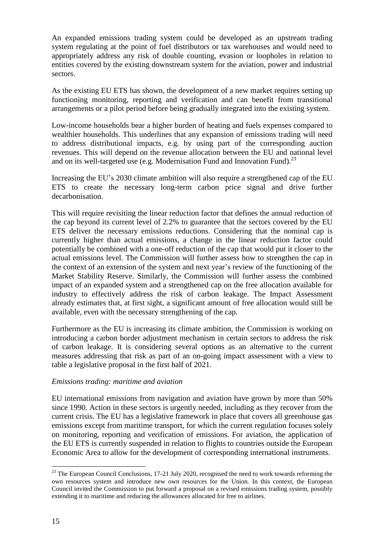An expanded emissions trading system could be developed as an upstream trading system regulating at the point of fuel distributors or tax warehouses and would need to appropriately address any risk of double counting, evasion or loopholes in relation to entities covered by the existing downstream system for the aviation, power and industrial sectors.

As the existing EU ETS has shown, the development of a new market requires setting up functioning monitoring, reporting and verification and can benefit from transitional arrangements or a pilot period before being gradually integrated into the existing system.

Low-income households bear a higher burden of heating and fuels expenses compared to wealthier households. This underlines that any expansion of emissions trading will need to address distributional impacts, e.g. by using part of the corresponding auction revenues. This will depend on the revenue allocation between the EU and national level and on its well-targeted use (e.g. Modernisation Fund and Innovation Fund).<sup>23</sup>

Increasing the EU's 2030 climate ambition will also require a strengthened cap of the EU ETS to create the necessary long-term carbon price signal and drive further decarbonisation.

This will require revisiting the linear reduction factor that defines the annual reduction of the cap beyond its current level of 2.2% to guarantee that the sectors covered by the EU ETS deliver the necessary emissions reductions. Considering that the nominal cap is currently higher than actual emissions, a change in the linear reduction factor could potentially be combined with a one-off reduction of the cap that would put it closer to the actual emissions level. The Commission will further assess how to strengthen the cap in the context of an extension of the system and next year's review of the functioning of the Market Stability Reserve. Similarly, the Commission will further assess the combined impact of an expanded system and a strengthened cap on the free allocation available for industry to effectively address the risk of carbon leakage. The Impact Assessment already estimates that, at first sight, a significant amount of free allocation would still be available, even with the necessary strengthening of the cap.

Furthermore as the EU is increasing its climate ambition, the Commission is working on introducing a carbon border adjustment mechanism in certain sectors to address the risk of carbon leakage. It is considering several options as an alternative to the current measures addressing that risk as part of an on-going impact assessment with a view to table a legislative proposal in the first half of 2021.

### *Emissions trading: maritime and aviation*

EU international emissions from navigation and aviation have grown by more than 50% since 1990. Action in these sectors is urgently needed, including as they recover from the current crisis. The EU has a legislative framework in place that covers all greenhouse gas emissions except from maritime transport, for which the current regulation focuses solely on monitoring, reporting and verification of emissions. For aviation, the application of the EU ETS is currently suspended in relation to flights to countries outside the European Economic Area to allow for the development of corresponding international instruments.

 $^{23}$  The European Council Conclusions, 17-21 July 2020, recognised the need to work towards reforming the own resources system and introduce new own resources for the Union. In this context, the European Council invited the Commission to put forward a proposal on a revised emissions trading system, possibly extending it to maritime and reducing the allowances allocated for free to airlines.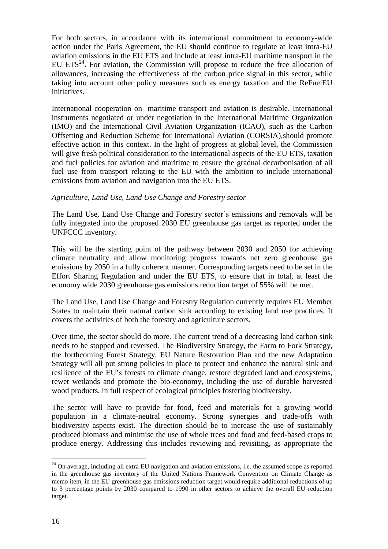For both sectors, in accordance with its international commitment to economy-wide action under the Paris Agreement, the EU should continue to regulate at least intra-EU aviation emissions in the EU ETS and include at least intra-EU maritime transport in the EU ETS<sup>24</sup>. For aviation, the Commission will propose to reduce the free allocation of allowances, increasing the effectiveness of the carbon price signal in this sector, while taking into account other policy measures such as energy taxation and the ReFuelEU initiatives.

International cooperation on maritime transport and aviation is desirable. International instruments negotiated or under negotiation in the International Maritime Organization (IMO) and the International Civil Aviation Organization (ICAO), such as the Carbon Offsetting and Reduction Scheme for International Aviation (CORSIA),should promote effective action in this context. In the light of progress at global level, the Commission will give fresh political consideration to the international aspects of the EU ETS, taxation and fuel policies for aviation and maritime to ensure the gradual decarbonisation of all fuel use from transport relating to the EU with the ambition to include international emissions from aviation and navigation into the EU ETS.

### *Agriculture, Land Use, Land Use Change and Forestry sector*

The Land Use, Land Use Change and Forestry sector's emissions and removals will be fully integrated into the proposed 2030 EU greenhouse gas target as reported under the UNFCCC inventory.

This will be the starting point of the pathway between 2030 and 2050 for achieving climate neutrality and allow monitoring progress towards net zero greenhouse gas emissions by 2050 in a fully coherent manner. Corresponding targets need to be set in the Effort Sharing Regulation and under the EU ETS, to ensure that in total, at least the economy wide 2030 greenhouse gas emissions reduction target of 55% will be met.

The Land Use, Land Use Change and Forestry Regulation currently requires EU Member States to maintain their natural carbon sink according to existing land use practices. It covers the activities of both the forestry and agriculture sectors.

Over time, the sector should do more. The current trend of a decreasing land carbon sink needs to be stopped and reversed. The Biodiversity Strategy, the Farm to Fork Strategy, the forthcoming Forest Strategy, EU Nature Restoration Plan and the new Adaptation Strategy will all put strong policies in place to protect and enhance the natural sink and resilience of the EU's forests to climate change, restore degraded land and ecosystems, rewet wetlands and promote the bio-economy, including the use of durable harvested wood products, in full respect of ecological principles fostering biodiversity.

The sector will have to provide for food, feed and materials for a growing world population in a climate-neutral economy. Strong synergies and trade-offs with biodiversity aspects exist. The direction should be to increase the use of sustainably produced biomass and minimise the use of whole trees and food and feed-based crops to produce energy. Addressing this includes reviewing and revisiting, as appropriate the

 $24$  On average, including all extra EU navigation and aviation emissions, i.e. the assumed scope as reported in the greenhouse gas inventory of the United Nations Framework Convention on Climate Change as memo item, in the EU greenhouse gas emissions reduction target would require additional reductions of up to 3 percentage points by 2030 compared to 1990 in other sectors to achieve the overall EU reduction target.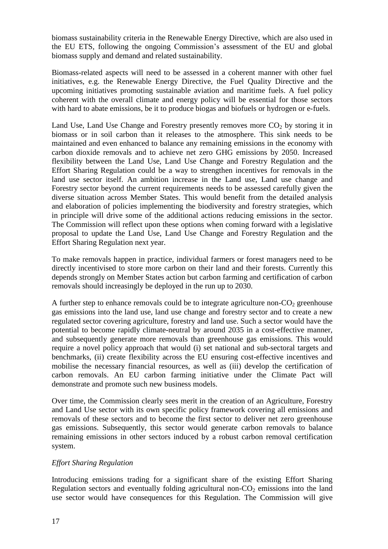biomass sustainability criteria in the Renewable Energy Directive, which are also used in the EU ETS, following the ongoing Commission's assessment of the EU and global biomass supply and demand and related sustainability.

Biomass-related aspects will need to be assessed in a coherent manner with other fuel initiatives, e.g. the Renewable Energy Directive, the Fuel Quality Directive and the upcoming initiatives promoting sustainable aviation and maritime fuels. A fuel policy coherent with the overall climate and energy policy will be essential for those sectors with hard to abate emissions, be it to produce biogas and biofuels or hydrogen or e-fuels.

Land Use, Land Use Change and Forestry presently removes more  $CO<sub>2</sub>$  by storing it in biomass or in soil carbon than it releases to the atmosphere. This sink needs to be maintained and even enhanced to balance any remaining emissions in the economy with carbon dioxide removals and to achieve net zero GHG emissions by 2050. Increased flexibility between the Land Use, Land Use Change and Forestry Regulation and the Effort Sharing Regulation could be a way to strengthen incentives for removals in the land use sector itself. An ambition increase in the Land use, Land use change and Forestry sector beyond the current requirements needs to be assessed carefully given the diverse situation across Member States. This would benefit from the detailed analysis and elaboration of policies implementing the biodiversity and forestry strategies, which in principle will drive some of the additional actions reducing emissions in the sector. The Commission will reflect upon these options when coming forward with a legislative proposal to update the Land Use, Land Use Change and Forestry Regulation and the Effort Sharing Regulation next year.

To make removals happen in practice, individual farmers or forest managers need to be directly incentivised to store more carbon on their land and their forests. Currently this depends strongly on Member States action but carbon farming and certification of carbon removals should increasingly be deployed in the run up to 2030.

A further step to enhance removals could be to integrate agriculture non- $CO<sub>2</sub>$  greenhouse gas emissions into the land use, land use change and forestry sector and to create a new regulated sector covering agriculture, forestry and land use. Such a sector would have the potential to become rapidly climate-neutral by around 2035 in a cost-effective manner, and subsequently generate more removals than greenhouse gas emissions. This would require a novel policy approach that would (i) set national and sub-sectoral targets and benchmarks, (ii) create flexibility across the EU ensuring cost-effective incentives and mobilise the necessary financial resources, as well as (iii) develop the certification of carbon removals. An EU carbon farming initiative under the Climate Pact will demonstrate and promote such new business models.

Over time, the Commission clearly sees merit in the creation of an Agriculture, Forestry and Land Use sector with its own specific policy framework covering all emissions and removals of these sectors and to become the first sector to deliver net zero greenhouse gas emissions. Subsequently, this sector would generate carbon removals to balance remaining emissions in other sectors induced by a robust carbon removal certification system.

# *Effort Sharing Regulation*

Introducing emissions trading for a significant share of the existing Effort Sharing Regulation sectors and eventually folding agricultural non- $CO<sub>2</sub>$  emissions into the land use sector would have consequences for this Regulation. The Commission will give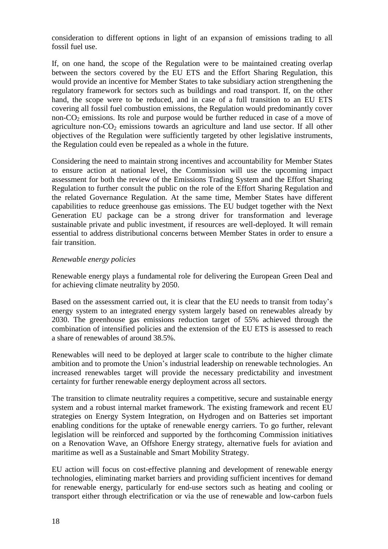consideration to different options in light of an expansion of emissions trading to all fossil fuel use.

If, on one hand, the scope of the Regulation were to be maintained creating overlap between the sectors covered by the EU ETS and the Effort Sharing Regulation, this would provide an incentive for Member States to take subsidiary action strengthening the regulatory framework for sectors such as buildings and road transport. If, on the other hand, the scope were to be reduced, and in case of a full transition to an EU ETS covering all fossil fuel combustion emissions, the Regulation would predominantly cover non- $CO<sub>2</sub>$  emissions. Its role and purpose would be further reduced in case of a move of agriculture non- $CO<sub>2</sub>$  emissions towards an agriculture and land use sector. If all other objectives of the Regulation were sufficiently targeted by other legislative instruments, the Regulation could even be repealed as a whole in the future.

Considering the need to maintain strong incentives and accountability for Member States to ensure action at national level, the Commission will use the upcoming impact assessment for both the review of the Emissions Trading System and the Effort Sharing Regulation to further consult the public on the role of the Effort Sharing Regulation and the related Governance Regulation. At the same time, Member States have different capabilities to reduce greenhouse gas emissions. The EU budget together with the Next Generation EU package can be a strong driver for transformation and leverage sustainable private and public investment, if resources are well-deployed. It will remain essential to address distributional concerns between Member States in order to ensure a fair transition.

### *Renewable energy policies*

Renewable energy plays a fundamental role for delivering the European Green Deal and for achieving climate neutrality by 2050.

Based on the assessment carried out, it is clear that the EU needs to transit from today's energy system to an integrated energy system largely based on renewables already by 2030. The greenhouse gas emissions reduction target of 55% achieved through the combination of intensified policies and the extension of the EU ETS is assessed to reach a share of renewables of around 38.5%.

Renewables will need to be deployed at larger scale to contribute to the higher climate ambition and to promote the Union's industrial leadership on renewable technologies. An increased renewables target will provide the necessary predictability and investment certainty for further renewable energy deployment across all sectors.

The transition to climate neutrality requires a competitive, secure and sustainable energy system and a robust internal market framework. The existing framework and recent EU strategies on Energy System Integration, on Hydrogen and on Batteries set important enabling conditions for the uptake of renewable energy carriers. To go further, relevant legislation will be reinforced and supported by the forthcoming Commission initiatives on a Renovation Wave, an Offshore Energy strategy, alternative fuels for aviation and maritime as well as a Sustainable and Smart Mobility Strategy.

EU action will focus on cost-effective planning and development of renewable energy technologies, eliminating market barriers and providing sufficient incentives for demand for renewable energy, particularly for end-use sectors such as heating and cooling or transport either through electrification or via the use of renewable and low-carbon fuels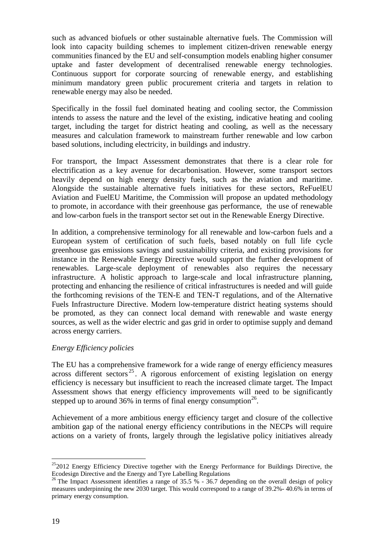such as advanced biofuels or other sustainable alternative fuels. The Commission will look into capacity building schemes to implement citizen-driven renewable energy communities financed by the EU and self-consumption models enabling higher consumer uptake and faster development of decentralised renewable energy technologies. Continuous support for corporate sourcing of renewable energy, and establishing minimum mandatory green public procurement criteria and targets in relation to renewable energy may also be needed.

Specifically in the fossil fuel dominated heating and cooling sector, the Commission intends to assess the nature and the level of the existing, indicative heating and cooling target, including the target for district heating and cooling, as well as the necessary measures and calculation framework to mainstream further renewable and low carbon based solutions, including electricity, in buildings and industry.

For transport, the Impact Assessment demonstrates that there is a clear role for electrification as a key avenue for decarbonisation. However, some transport sectors heavily depend on high energy density fuels, such as the aviation and maritime. Alongside the sustainable alternative fuels initiatives for these sectors, ReFuelEU Aviation and FuelEU Maritime, the Commission will propose an updated methodology to promote, in accordance with their greenhouse gas performance, the use of renewable and low-carbon fuels in the transport sector set out in the Renewable Energy Directive.

In addition, a comprehensive terminology for all renewable and low-carbon fuels and a European system of certification of such fuels, based notably on full life cycle greenhouse gas emissions savings and sustainability criteria, and existing provisions for instance in the Renewable Energy Directive would support the further development of renewables. Large-scale deployment of renewables also requires the necessary infrastructure. A holistic approach to large-scale and local infrastructure planning, protecting and enhancing the resilience of critical infrastructures is needed and will guide the forthcoming revisions of the TEN-E and TEN-T regulations, and of the Alternative Fuels Infrastructure Directive. Modern low-temperature district heating systems should be promoted, as they can connect local demand with renewable and waste energy sources, as well as the wider electric and gas grid in order to optimise supply and demand across energy carriers.

### *Energy Efficiency policies*

The EU has a comprehensive framework for a wide range of energy efficiency measures across different sectors<sup>25</sup>. A rigorous enforcement of existing legislation on energy efficiency is necessary but insufficient to reach the increased climate target. The Impact Assessment shows that energy efficiency improvements will need to be significantly stepped up to around 36% in terms of final energy consumption<sup>26</sup>.

Achievement of a more ambitious energy efficiency target and closure of the collective ambition gap of the national energy efficiency contributions in the NECPs will require actions on a variety of fronts, largely through the legislative policy initiatives already

 $252012$  Energy Efficiency Directive together with the Energy Performance for Buildings Directive, the Ecodesign Directive and the Energy and Tyre Labelling Regulations

<sup>&</sup>lt;sup>26</sup> The Impact Assessment identifies a range of 35.5 % - 36.7 depending on the overall design of policy measures underpinning the new 2030 target. This would correspond to a range of 39.2%- 40.6% in terms of primary energy consumption.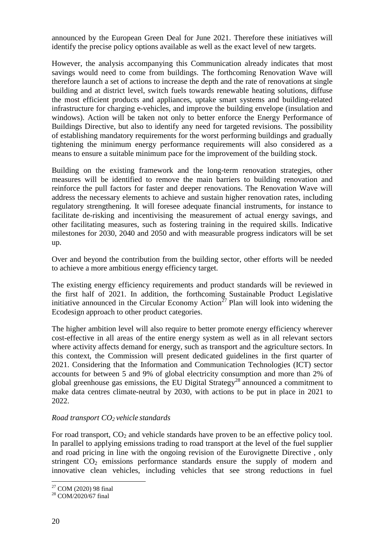announced by the European Green Deal for June 2021. Therefore these initiatives will identify the precise policy options available as well as the exact level of new targets.

However, the analysis accompanying this Communication already indicates that most savings would need to come from buildings. The forthcoming Renovation Wave will therefore launch a set of actions to increase the depth and the rate of renovations at single building and at district level, switch fuels towards renewable heating solutions, diffuse the most efficient products and appliances, uptake smart systems and building-related infrastructure for charging e-vehicles, and improve the building envelope (insulation and windows). Action will be taken not only to better enforce the Energy Performance of Buildings Directive, but also to identify any need for targeted revisions. The possibility of establishing mandatory requirements for the worst performing buildings and gradually tightening the minimum energy performance requirements will also considered as a means to ensure a suitable minimum pace for the improvement of the building stock.

Building on the existing framework and the long-term renovation strategies, other measures will be identified to remove the main barriers to building renovation and reinforce the pull factors for faster and deeper renovations. The Renovation Wave will address the necessary elements to achieve and sustain higher renovation rates, including regulatory strengthening. It will foresee adequate financial instruments, for instance to facilitate de-risking and incentivising the measurement of actual energy savings, and other facilitating measures, such as fostering training in the required skills. Indicative milestones for 2030, 2040 and 2050 and with measurable progress indicators will be set up.

Over and beyond the contribution from the building sector, other efforts will be needed to achieve a more ambitious energy efficiency target.

The existing energy efficiency requirements and product standards will be reviewed in the first half of 2021. In addition, the forthcoming Sustainable Product Legislative initiative announced in the Circular Economy Action<sup>27</sup> Plan will look into widening the Ecodesign approach to other product categories.

The higher ambition level will also require to better promote energy efficiency wherever cost-effective in all areas of the entire energy system as well as in all relevant sectors where activity affects demand for energy, such as transport and the agriculture sectors. In this context, the Commission will present dedicated guidelines in the first quarter of 2021. Considering that the Information and Communication Technologies (ICT) sector accounts for between 5 and 9% of global electricity consumption and more than 2% of global greenhouse gas emissions, the EU Digital Strategy<sup>28</sup> announced a commitment to make data centres climate-neutral by 2030, with actions to be put in place in 2021 to 2022.

### *Road transport CO<sup>2</sup> vehicle standards*

For road transport,  $CO<sub>2</sub>$  and vehicle standards have proven to be an effective policy tool. In parallel to applying emissions trading to road transport at the level of the fuel supplier and road pricing in line with the ongoing revision of the Eurovignette Directive , only stringent  $CO<sub>2</sub>$  emissions performance standards ensure the supply of modern and innovative clean vehicles, including vehicles that see strong reductions in fuel

 $\overline{a}$  $27$  COM (2020) 98 final

<sup>28</sup> COM/2020/67 final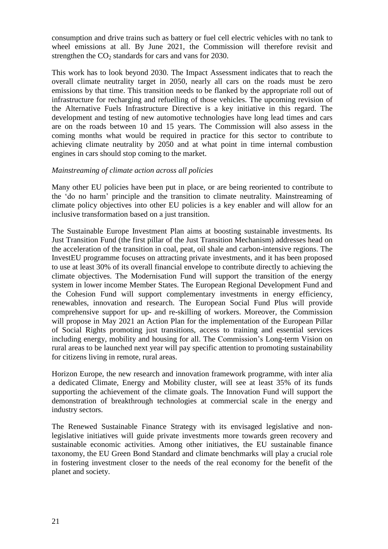consumption and drive trains such as battery or fuel cell electric vehicles with no tank to wheel emissions at all. By June 2021, the Commission will therefore revisit and strengthen the  $CO<sub>2</sub>$  standards for cars and vans for 2030.

This work has to look beyond 2030. The Impact Assessment indicates that to reach the overall climate neutrality target in 2050, nearly all cars on the roads must be zero emissions by that time. This transition needs to be flanked by the appropriate roll out of infrastructure for recharging and refuelling of those vehicles. The upcoming revision of the Alternative Fuels Infrastructure Directive is a key initiative in this regard. The development and testing of new automotive technologies have long lead times and cars are on the roads between 10 and 15 years. The Commission will also assess in the coming months what would be required in practice for this sector to contribute to achieving climate neutrality by 2050 and at what point in time internal combustion engines in cars should stop coming to the market.

## *Mainstreaming of climate action across all policies*

Many other EU policies have been put in place, or are being reoriented to contribute to the 'do no harm' principle and the transition to climate neutrality. Mainstreaming of climate policy objectives into other EU policies is a key enabler and will allow for an inclusive transformation based on a just transition.

The Sustainable Europe Investment Plan aims at boosting sustainable investments. Its Just Transition Fund (the first pillar of the Just Transition Mechanism) addresses head on the acceleration of the transition in coal, peat, oil shale and carbon-intensive regions. The InvestEU programme focuses on attracting private investments, and it has been proposed to use at least 30% of its overall financial envelope to contribute directly to achieving the climate objectives. The Modernisation Fund will support the transition of the energy system in lower income Member States. The European Regional Development Fund and the Cohesion Fund will support complementary investments in energy efficiency, renewables, innovation and research. The European Social Fund Plus will provide comprehensive support for up- and re-skilling of workers. Moreover, the Commission will propose in May 2021 an Action Plan for the implementation of the European Pillar of Social Rights promoting just transitions, access to training and essential services including energy, mobility and housing for all. The Commission's Long-term Vision on rural areas to be launched next year will pay specific attention to promoting sustainability for citizens living in remote, rural areas.

Horizon Europe, the new research and innovation framework programme, with inter alia a dedicated Climate, Energy and Mobility cluster, will see at least 35% of its funds supporting the achievement of the climate goals. The Innovation Fund will support the demonstration of breakthrough technologies at commercial scale in the energy and industry sectors.

The Renewed Sustainable Finance Strategy with its envisaged legislative and nonlegislative initiatives will guide private investments more towards green recovery and sustainable economic activities. Among other initiatives, the EU sustainable finance taxonomy, the EU Green Bond Standard and climate benchmarks will play a crucial role in fostering investment closer to the needs of the real economy for the benefit of the planet and society.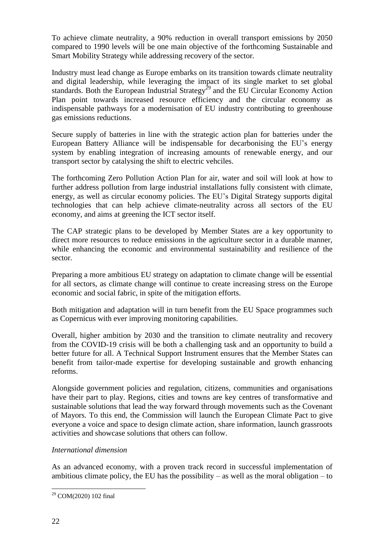To achieve climate neutrality, a 90% reduction in overall transport emissions by 2050 compared to 1990 levels will be one main objective of the forthcoming Sustainable and Smart Mobility Strategy while addressing recovery of the sector.

Industry must lead change as Europe embarks on its transition towards climate neutrality and digital leadership, while leveraging the impact of its single market to set global standards. Both the European Industrial Strategy<sup>29</sup> and the EU Circular Economy Action Plan point towards increased resource efficiency and the circular economy as indispensable pathways for a modernisation of EU industry contributing to greenhouse gas emissions reductions.

Secure supply of batteries in line with the strategic action plan for batteries under the European Battery Alliance will be indispensable for decarbonising the EU's energy system by enabling integration of increasing amounts of renewable energy, and our transport sector by catalysing the shift to electric vehciles.

The forthcoming Zero Pollution Action Plan for air, water and soil will look at how to further address pollution from large industrial installations fully consistent with climate, energy, as well as circular economy policies. The EU's Digital Strategy supports digital technologies that can help achieve climate-neutrality across all sectors of the EU economy, and aims at greening the ICT sector itself.

The CAP strategic plans to be developed by Member States are a key opportunity to direct more resources to reduce emissions in the agriculture sector in a durable manner, while enhancing the economic and environmental sustainability and resilience of the sector.

Preparing a more ambitious EU strategy on adaptation to climate change will be essential for all sectors, as climate change will continue to create increasing stress on the Europe economic and social fabric, in spite of the mitigation efforts.

Both mitigation and adaptation will in turn benefit from the EU Space programmes such as Copernicus with ever improving monitoring capabilities.

Overall, higher ambition by 2030 and the transition to climate neutrality and recovery from the COVID-19 crisis will be both a challenging task and an opportunity to build a better future for all. A Technical Support Instrument ensures that the Member States can benefit from tailor-made expertise for developing sustainable and growth enhancing reforms.

Alongside government policies and regulation, citizens, communities and organisations have their part to play. Regions, cities and towns are key centres of transformative and sustainable solutions that lead the way forward through movements such as the Covenant of Mayors. To this end, the Commission will launch the European Climate Pact to give everyone a voice and space to design climate action, share information, launch grassroots activities and showcase solutions that others can follow.

### *International dimension*

As an advanced economy, with a proven track record in successful implementation of ambitious climate policy, the EU has the possibility – as well as the moral obligation – to

<sup>29</sup> COM(2020) 102 final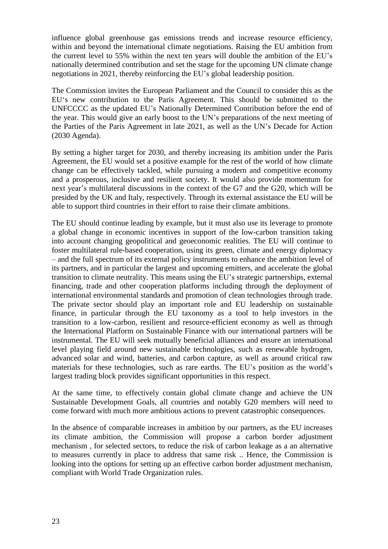influence global greenhouse gas emissions trends and increase resource efficiency, within and beyond the international climate negotiations. Raising the EU ambition from the current level to 55% within the next ten years will double the ambition of the EU's nationally determined contribution and set the stage for the upcoming UN climate change negotiations in 2021, thereby reinforcing the EU's global leadership position.

The Commission invites the European Parliament and the Council to consider this as the EU's new contribution to the Paris Agreement. This should be submitted to the UNFCCCC as the updated EU's Nationally Determined Contribution before the end of the year. This would give an early boost to the UN's preparations of the next meeting of the Parties of the Paris Agreement in late 2021, as well as the UN's Decade for Action (2030 Agenda).

By setting a higher target for 2030, and thereby increasing its ambition under the Paris Agreement, the EU would set a positive example for the rest of the world of how climate change can be effectively tackled, while pursuing a modern and competitive economy and a prosperous, inclusive and resilient society. It would also provide momentum for next year's multilateral discussions in the context of the G7 and the G20, which will be presided by the UK and Italy, respectively. Through its external assistance the EU will be able to support third countries in their effort to raise their climate ambitions.

The EU should continue leading by example, but it must also use its leverage to promote a global change in economic incentives in support of the low-carbon transition taking into account changing geopolitical and geoeconomic realities. The EU will continue to foster multilateral rule-based cooperation, using its green, climate and energy diplomacy – and the full spectrum of its external policy instruments to enhance the ambition level of its partners, and in particular the largest and upcoming emitters, and accelerate the global transition to climate neutrality. This means using the EU's strategic partnerships, external financing, trade and other cooperation platforms including through the deployment of international environmental standards and promotion of clean technologies through trade. The private sector should play an important role and EU leadership on sustainable finance, in particular through the EU taxonomy as a tool to help investors in the transition to a low-carbon, resilient and resource-efficient economy as well as through the International Platform on Sustainable Finance with our international partners will be instrumental. The EU will seek mutually beneficial alliances and ensure an international level playing field around new sustainable technologies, such as renewable hydrogen, advanced solar and wind, batteries, and carbon capture, as well as around critical raw materials for these technologies, such as rare earths. The EU's position as the world's largest trading block provides significant opportunities in this respect.

At the same time, to effectively contain global climate change and achieve the UN Sustainable Development Goals, all countries and notably G20 members will need to come forward with much more ambitious actions to prevent catastrophic consequences.

In the absence of comparable increases in ambition by our partners, as the EU increases its climate ambition, the Commission will propose a carbon border adjustment mechanism , for selected sectors, to reduce the risk of carbon leakage as a an alternative to measures currently in place to address that same risk .. Hence, the Commission is looking into the options for setting up an effective carbon border adjustment mechanism, compliant with World Trade Organization rules.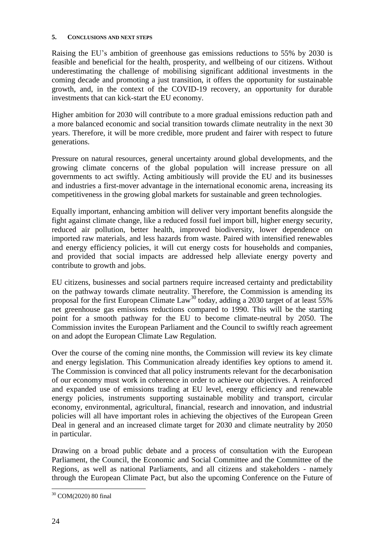#### **5. CONCLUSIONS AND NEXT STEPS**

Raising the EU's ambition of greenhouse gas emissions reductions to 55% by 2030 is feasible and beneficial for the health, prosperity, and wellbeing of our citizens. Without underestimating the challenge of mobilising significant additional investments in the coming decade and promoting a just transition, it offers the opportunity for sustainable growth, and, in the context of the COVID-19 recovery, an opportunity for durable investments that can kick-start the EU economy.

Higher ambition for 2030 will contribute to a more gradual emissions reduction path and a more balanced economic and social transition towards climate neutrality in the next 30 years. Therefore, it will be more credible, more prudent and fairer with respect to future generations.

Pressure on natural resources, general uncertainty around global developments, and the growing climate concerns of the global population will increase pressure on all governments to act swiftly. Acting ambitiously will provide the EU and its businesses and industries a first-mover advantage in the international economic arena, increasing its competitiveness in the growing global markets for sustainable and green technologies.

Equally important, enhancing ambition will deliver very important benefits alongside the fight against climate change, like a reduced fossil fuel import bill, higher energy security, reduced air pollution, better health, improved biodiversity, lower dependence on imported raw materials, and less hazards from waste. Paired with intensified renewables and energy efficiency policies, it will cut energy costs for households and companies, and provided that social impacts are addressed help alleviate energy poverty and contribute to growth and jobs.

EU citizens, businesses and social partners require increased certainty and predictability on the pathway towards climate neutrality. Therefore, the Commission is amending its proposal for the first European Climate Law<sup>30</sup> today, adding a 2030 target of at least 55% net greenhouse gas emissions reductions compared to 1990. This will be the starting point for a smooth pathway for the EU to become climate-neutral by 2050. The Commission invites the European Parliament and the Council to swiftly reach agreement on and adopt the European Climate Law Regulation.

Over the course of the coming nine months, the Commission will review its key climate and energy legislation. This Communication already identifies key options to amend it. The Commission is convinced that all policy instruments relevant for the decarbonisation of our economy must work in coherence in order to achieve our objectives. A reinforced and expanded use of emissions trading at EU level, energy efficiency and renewable energy policies, instruments supporting sustainable mobility and transport, circular economy, environmental, agricultural, financial, research and innovation, and industrial policies will all have important roles in achieving the objectives of the European Green Deal in general and an increased climate target for 2030 and climate neutrality by 2050 in particular.

Drawing on a broad public debate and a process of consultation with the European Parliament, the Council, the Economic and Social Committee and the Committee of the Regions, as well as national Parliaments, and all citizens and stakeholders - namely through the European Climate Pact, but also the upcoming Conference on the Future of

 $\overline{a}$ <sup>30</sup> COM(2020) 80 final